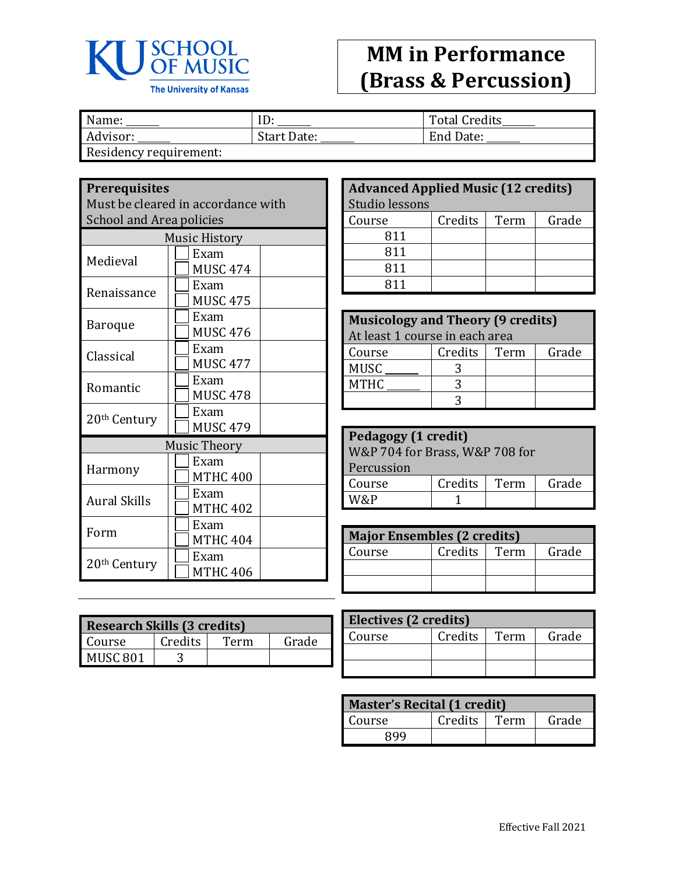

## **MM in Performance (Brass & Percussion)**

| Name:                 | ιv                 | <b>Total Credits</b> |
|-----------------------|--------------------|----------------------|
| Advisor:              | <b>Start Date:</b> | End Date:            |
| Posidonau roquiromont |                    |                      |

Residency requirement:

## **Prerequisites**

Must be cleared in accordance with School and Area policies

| <b>Music History</b>     |                     |  |
|--------------------------|---------------------|--|
| Medieval                 | Exam                |  |
|                          | <b>MUSC 474</b>     |  |
| Renaissance              | Exam                |  |
|                          | <b>MUSC 475</b>     |  |
| Baroque                  | Exam                |  |
|                          | <b>MUSC 476</b>     |  |
| Classical                | Exam                |  |
|                          | <b>MUSC 477</b>     |  |
| Romantic                 | Exam                |  |
|                          | <b>MUSC 478</b>     |  |
| 20 <sup>th</sup> Century | Exam                |  |
|                          | <b>MUSC 479</b>     |  |
|                          | <b>Music Theory</b> |  |
|                          | Exam                |  |
| Harmony                  | <b>MTHC 400</b>     |  |
| <b>Aural Skills</b>      | Exam                |  |
|                          | <b>MTHC 402</b>     |  |
| Form                     | Exam                |  |
|                          | <b>MTHC 404</b>     |  |
|                          | Exam                |  |
| 20 <sup>th</sup> Century | <b>MTHC 406</b>     |  |

| <b>Advanced Applied Music (12 credits)</b> |         |      |       |
|--------------------------------------------|---------|------|-------|
| Studio lessons                             |         |      |       |
| Course                                     | Credits | Term | Grade |
| 811                                        |         |      |       |
| 811                                        |         |      |       |
| 811                                        |         |      |       |
| 811                                        |         |      |       |

| <b>Musicology and Theory (9 credits)</b> |         |      |       |  |
|------------------------------------------|---------|------|-------|--|
| At least 1 course in each area           |         |      |       |  |
| Course                                   | Credits | Term | Grade |  |
| <b>MUSC</b>                              |         |      |       |  |
| <b>MTHC</b>                              |         |      |       |  |
|                                          |         |      |       |  |

| Pedagogy (1 credit)                |  |  |  |  |
|------------------------------------|--|--|--|--|
| W&P 704 for Brass, W&P 708 for     |  |  |  |  |
| Percussion                         |  |  |  |  |
| Credits<br>Grade<br>Term<br>Course |  |  |  |  |
| M/2, P                             |  |  |  |  |

| <b>Major Ensembles (2 credits)</b> |         |      |       |
|------------------------------------|---------|------|-------|
| Course                             | Credits | Term | Grade |
|                                    |         |      |       |
|                                    |         |      |       |

| <b>Research Skills (3 credits)</b> |         |      |       |
|------------------------------------|---------|------|-------|
| Course                             | Credits | Term | Grade |
| MUSC <sub>801</sub>                |         |      |       |

| Electives (2 credits) |         |      |       |
|-----------------------|---------|------|-------|
| Course                | Credits | Term | Grade |
|                       |         |      |       |
|                       |         |      |       |

| <b>Master's Recital (1 credit)</b> |         |      |       |
|------------------------------------|---------|------|-------|
| Course                             | Credits | Term | Grade |
| RQQ                                |         |      |       |